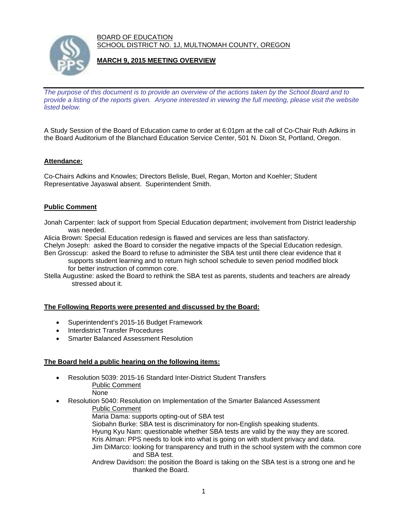BOARD OF EDUCATION SCHOOL DISTRICT NO. 1J, MULTNOMAH COUNTY, OREGON



# **MARCH 9, 2015 MEETING OVERVIEW**

*The purpose of this document is to provide an overview of the actions taken by the School Board and to provide a listing of the reports given. Anyone interested in viewing the full meeting, please visit the website listed below.* 

A Study Session of the Board of Education came to order at 6:01pm at the call of Co-Chair Ruth Adkins in the Board Auditorium of the Blanchard Education Service Center, 501 N. Dixon St, Portland, Oregon.

### **Attendance:**

Co-Chairs Adkins and Knowles; Directors Belisle, Buel, Regan, Morton and Koehler; Student Representative Jayaswal absent. Superintendent Smith.

### **Public Comment**

Jonah Carpenter: lack of support from Special Education department; involvement from District leadership was needed.

Alicia Brown: Special Education redesign is flawed and services are less than satisfactory. Chelyn Joseph: asked the Board to consider the negative impacts of the Special Education redesign. Ben Grosscup: asked the Board to refuse to administer the SBA test until there clear evidence that it

 supports student learning and to return high school schedule to seven period modified block for better instruction of common core.

Stella Augustine: asked the Board to rethink the SBA test as parents, students and teachers are already stressed about it.

### **The Following Reports were presented and discussed by the Board:**

- Superintendent's 2015-16 Budget Framework
- Interdistrict Transfer Procedures
- Smarter Balanced Assessment Resolution

#### **The Board held a public hearing on the following items:**

- Resolution 5039: 2015-16 Standard Inter-District Student Transfers Public Comment
	- None
- Resolution 5040: Resolution on Implementation of the Smarter Balanced Assessment
	- Public Comment
	- Maria Dama: supports opting-out of SBA test
	- Siobahn Burke: SBA test is discriminatory for non-English speaking students.
	- Hyung Kyu Nam: questionable whether SBA tests are valid by the way they are scored. Kris Alman: PPS needs to look into what is going on with student privacy and data.
	- Jim DiMarco: looking for transparency and truth in the school system with the common core and SBA test.
	- Andrew Davidson: the position the Board is taking on the SBA test is a strong one and he thanked the Board.